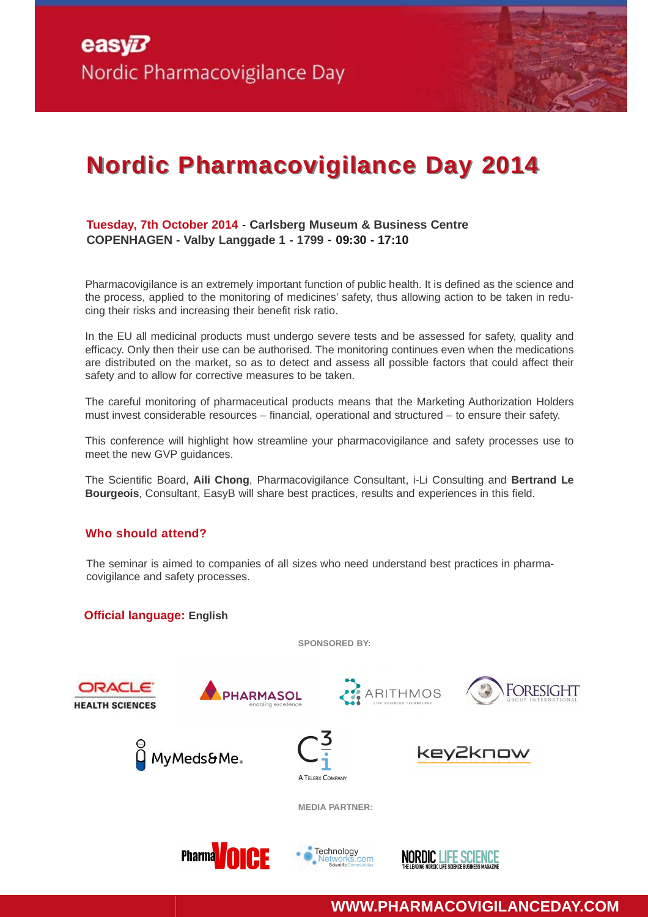# **Nordic Pharmacovigilance Day 2014**

#### **Tuesday, 7th October 2014** - **Carlsberg Museum & Business Centre COPENHAGEN - Valby Langgade 1 - 1799** - **09:30 - 17:10**

Pharmacovigilance is an extremely important function of public health. It is defined as the science and the process, applied to the monitoring of medicines' safety, thus allowing action to be taken in reducing their risks and increasing their benefit risk ratio.

In the EU all medicinal products must undergo severe tests and be assessed for safety, quality and efficacy. Only then their use can be authorised. The monitoring continues even when the medications are distributed on the market, so as to detect and assess all possible factors that could affect their safety and to allow for corrective measures to be taken.

The careful monitoring of pharmaceutical products means that the Marketing Authorization Holders must invest considerable resources – financial, operational and structured – to ensure their safety.

This conference will highlight how streamline your pharmacovigilance and safety processes use to meet the new GVP guidances.

The Scientific Board, **Aili Chong**, Pharmacovigilance Consultant, i-Li Consulting and **Bertrand Le Bourgeois**, Consultant, EasyB will share best practices, results and experiences in this field.

#### **Who should attend?**

The seminar is aimed to companies of all sizes who need understand best practices in pharmacovigilance and safety processes.

**Official language: English**

**SPONSORED BY:**



**WWW.PHARMACOVIGILANCEDAY.COM**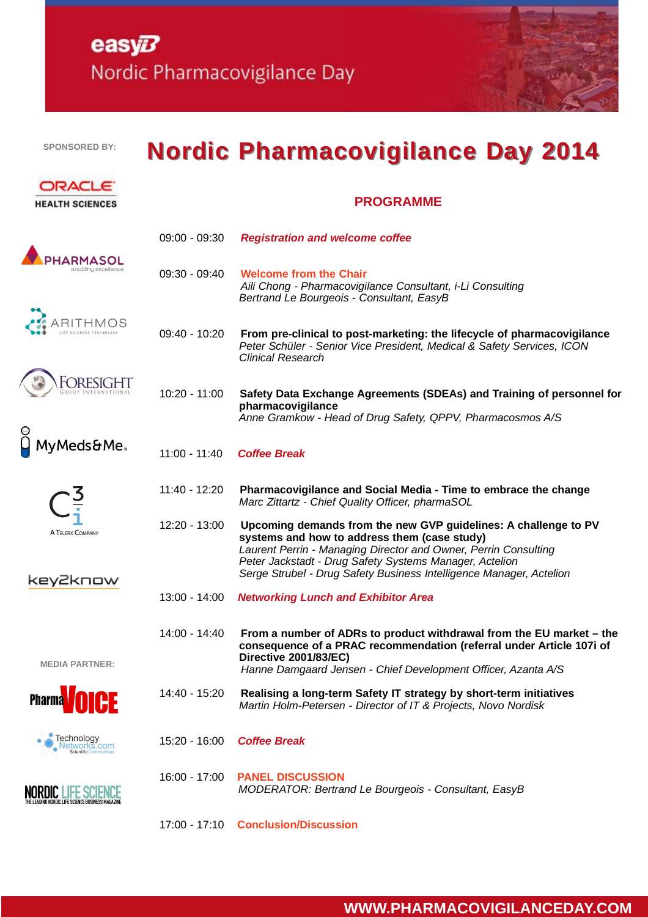## easy $B$ Nordic Pharmacovigilance Day

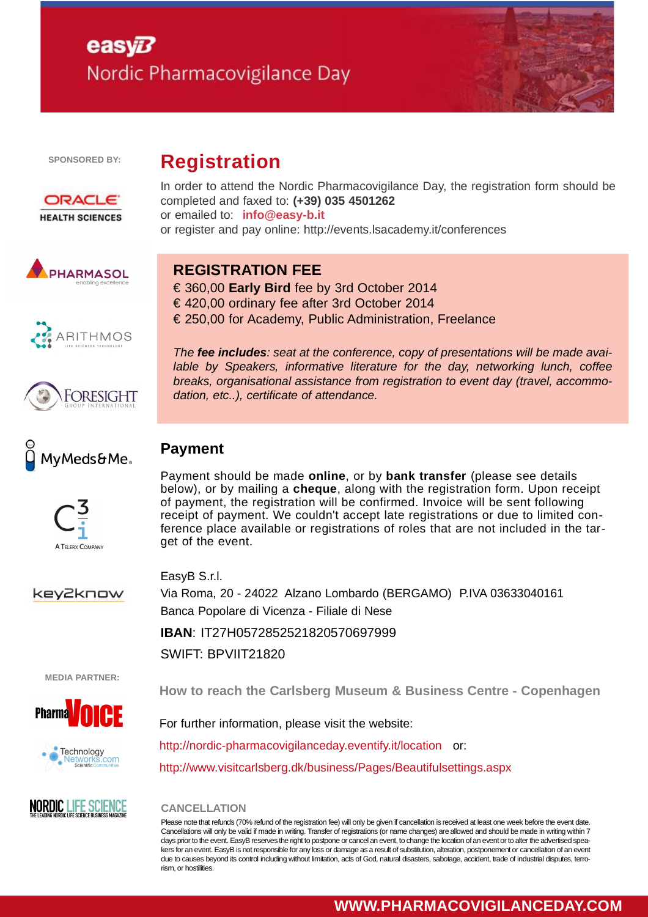# easy $E$ Nordic Pharmacovigilance Day

**Registration**



**SPONSORED BY:**



PHARMASOL

**ARITHMOS** 

FORESIGHT

MvMeds&Me.

In order to attend the Nordic Pharmacovigilance Day, the registration form should be completed and faxed to: **(+39) 035 4501262** or emailed to: **info@easy-b.it** or register and pay online: http://events.lsacademy.it/conferences

### **REGISTRATION FEE**

€ 360,00 **Early Bird** fee by 3rd October 2014 € 420,00 ordinary fee after 3rd October 2014 € 250,00 for Academy, Public Administration, Freelance

*The fee includes: seat at the conference, copy of presentations will be made available by Speakers, informative literature for the day, networking lunch, coffee breaks, organisational assistance from registration to event day (travel, accommodation, etc..), certificate of attendance.*

### **Payment**

Payment should be made **online**, or by **bank transfer** (please see details below), or by mailing a **cheque**, along with the registration form. Upon receipt of payment, the registration will be confirmed. Invoice will be sent following receipt of payment. We couldn't accept late registrations or due to limited conference place available or registrations of roles that are not included in the target of the event.

key2know

A TELERX COMPANY

EasyB S.r.l. Via Roma, 20 - 24022 Alzano Lombardo (BERGAMO) P.IVA 03633040161 Banca Popolare di Vicenza - Filiale di Nese

**IBAN**: IT27H0572852521820570697999

SWIFT: BPVIIT21820

**MEDIA PARTNER:**







**How to reach the Carlsberg Museum & Business Centre - Copenhagen**

For further information, please visit the website:

http://nordic-pharmacovigilanceday.eventify.it/location or:

http://www.visitcarlsberg.dk/business/Pages/Beautifulsettings.aspx

#### **CANCELLATION**

Please note that refunds (70% refund of the registration fee) will only be given if cancellation is received at least one week before the event date. Cancellations will only be valid if made in writing. Transfer of registrations (or name changes) are allowed and should be made in writing within 7 days prior to the event. EasyB reserves the right to postpone or cancel an event, to change the location of an event or to alter the advertised speakers for an event. EasyB is not responsible for any loss or damage as a result of substitution, alteration, postponement or cancellation of an event due to causes beyond its control including without limitation, acts of God, natural disasters, sabotage, accident, trade of industrial disputes, terrorism, or hostilities.